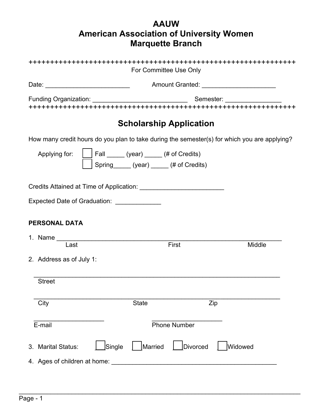# **AAUW American Association of University Women Marquette Branch**

|                                                                                              | For Committee Use Only                                                       |                                          |
|----------------------------------------------------------------------------------------------|------------------------------------------------------------------------------|------------------------------------------|
|                                                                                              |                                                                              | Amount Granted: ________________________ |
|                                                                                              |                                                                              |                                          |
|                                                                                              | <b>Scholarship Application</b>                                               |                                          |
| How many credit hours do you plan to take during the semester(s) for which you are applying? |                                                                              |                                          |
| Applying for:                                                                                | Fall _____ (year) _____ (# of Credits)<br>Spring (year) _____ (# of Credits) |                                          |
| Credits Attained at Time of Application: Credits Attained at Time of Application:            |                                                                              |                                          |
| Expected Date of Graduation: _______________                                                 |                                                                              |                                          |
| <b>PERSONAL DATA</b>                                                                         |                                                                              |                                          |
| Last                                                                                         | First                                                                        | Middle                                   |
| 2. Address as of July 1:                                                                     |                                                                              |                                          |
| <b>Street</b>                                                                                |                                                                              |                                          |
| City                                                                                         | <b>State</b>                                                                 | Zip                                      |
| E-mail                                                                                       | <b>Phone Number</b>                                                          |                                          |
| Single<br>3. Marital Status:                                                                 | Married<br><b>Divorced</b>                                                   | lWidowed                                 |
| 4. Ages of children at home:                                                                 |                                                                              |                                          |

\_\_\_\_\_\_\_\_\_\_\_\_\_\_\_\_\_\_\_\_\_\_\_\_\_\_\_\_\_\_\_\_\_\_\_\_\_\_\_\_\_\_\_\_\_\_\_\_\_\_\_\_\_\_\_\_\_\_\_\_\_\_\_\_\_\_\_\_\_\_\_\_\_\_\_\_\_\_\_\_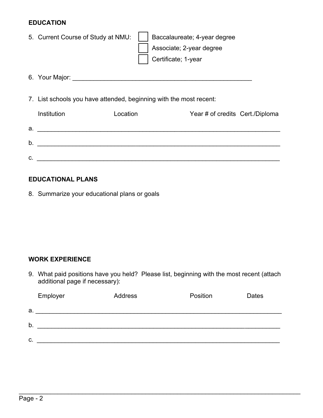#### **EDUCATION**

|    | 5. Current Course of Study at NMU:                                 | Baccalaureate; 4-year degree<br>Associate; 2-year degree<br>Certificate; 1-year |                                 |
|----|--------------------------------------------------------------------|---------------------------------------------------------------------------------|---------------------------------|
|    |                                                                    |                                                                                 |                                 |
|    | 7. List schools you have attended, beginning with the most recent: |                                                                                 |                                 |
|    | Institution<br>Location                                            |                                                                                 | Year # of credits Cert./Diploma |
|    |                                                                    |                                                                                 |                                 |
|    | b. <u>__________________________________</u>                       |                                                                                 |                                 |
| C. |                                                                    |                                                                                 |                                 |

### **EDUCATIONAL PLANS**

8. Summarize your educational plans or goals

## **WORK EXPERIENCE**

9. What paid positions have you held? Please list, beginning with the most recent (attach additional page if necessary):

|    | Employer | Address | Position | <b>Dates</b> |
|----|----------|---------|----------|--------------|
| a. |          |         |          |              |
| b. |          |         |          |              |
| C. |          |         |          |              |

\_\_\_\_\_\_\_\_\_\_\_\_\_\_\_\_\_\_\_\_\_\_\_\_\_\_\_\_\_\_\_\_\_\_\_\_\_\_\_\_\_\_\_\_\_\_\_\_\_\_\_\_\_\_\_\_\_\_\_\_\_\_\_\_\_\_\_\_\_\_\_\_\_\_\_\_\_\_\_\_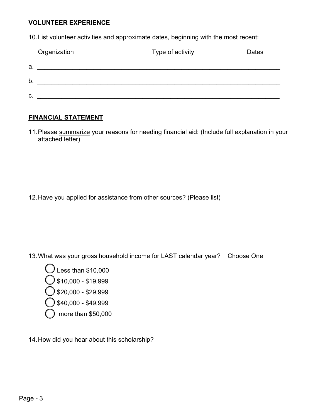#### **VOLUNTEER EXPERIENCE**

10.List volunteer activities and approximate dates, beginning with the most recent:

|    | Organization | Type of activity | Dates |
|----|--------------|------------------|-------|
| a. |              |                  |       |
| b  |              |                  |       |
| C. |              |                  |       |

### **FINANCIAL STATEMENT**

11. Please summarize your reasons for needing financial aid: (Include full explanation in your attached letter)

12.Have you applied for assistance from other sources? (Please list)

13.What was your gross household income for LAST calendar year? Choose One

\_\_\_\_\_\_\_\_\_\_\_\_\_\_\_\_\_\_\_\_\_\_\_\_\_\_\_\_\_\_\_\_\_\_\_\_\_\_\_\_\_\_\_\_\_\_\_\_\_\_\_\_\_\_\_\_\_\_\_\_\_\_\_\_\_\_\_\_\_\_\_\_\_\_\_\_\_\_\_\_



14.How did you hear about this scholarship?